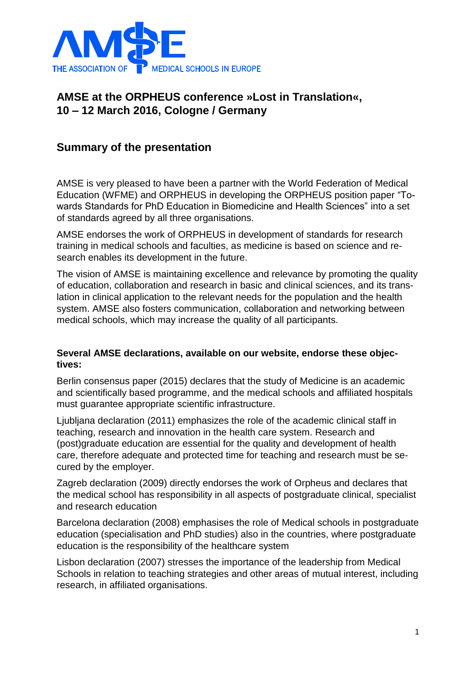

## **AMSE at the ORPHEUS conference »Lost in Translation«, 10 – 12 March 2016, Cologne / Germany**

## **Summary of the presentation**

AMSE is very pleased to have been a partner with the World Federation of Medical Education (WFME) and ORPHEUS in developing the ORPHEUS position paper "Towards Standards for PhD Education in Biomedicine and Health Sciences" into a set of standards agreed by all three organisations.

AMSE endorses the work of ORPHEUS in development of standards for research training in medical schools and faculties, as medicine is based on science and research enables its development in the future.

The vision of AMSE is maintaining excellence and relevance by promoting the quality of education, collaboration and research in basic and clinical sciences, and its translation in clinical application to the relevant needs for the population and the health system. AMSE also fosters communication, collaboration and networking between medical schools, which may increase the quality of all participants.

## **Several AMSE declarations, available on our website, endorse these objectives:**

Berlin consensus paper (2015) declares that the study of Medicine is an academic and scientifically based programme, and the medical schools and affiliated hospitals must guarantee appropriate scientific infrastructure.

Ljubljana declaration (2011) emphasizes the role of the academic clinical staff in teaching, research and innovation in the health care system. Research and (post)graduate education are essential for the quality and development of health care, therefore adequate and protected time for teaching and research must be secured by the employer.

Zagreb declaration (2009) directly endorses the work of Orpheus and declares that the medical school has responsibility in all aspects of postgraduate clinical, specialist and research education

Barcelona declaration (2008) emphasises the role of Medical schools in postgraduate education (specialisation and PhD studies) also in the countries, where postgraduate education is the responsibility of the healthcare system

Lisbon declaration (2007) stresses the importance of the leadership from Medical Schools in relation to teaching strategies and other areas of mutual interest, including research, in affiliated organisations.